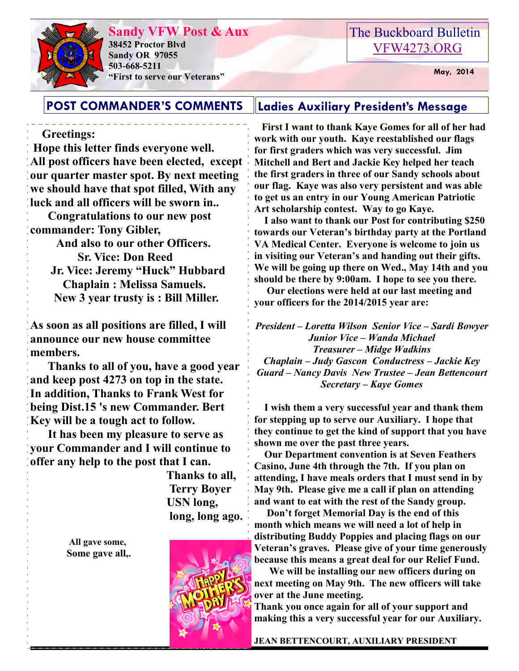# **Sandy VFW Post & Aux**



**38452 Proctor Blvd Sandy OR 97055 503-668-5211 EXECUTE:** May, 2014

## The Buckboard Bulletin [VFW4273.ORG](http://vfw4273.org/)

#### **POST COMMANDER'S COMMENTS Ladies Auxiliary President's Message**

#### **Greetings:**

 **Hope this letter finds everyone well. All post officers have been elected, except our quarter master spot. By next meeting we should have that spot filled, With any luck and all officers will be sworn in..** 

 **Congratulations to our new post commander: Tony Gibler,** 

> **And also to our other Officers. Sr. Vice: Don Reed Jr. Vice: Jeremy "Huck" Hubbard Chaplain : Melissa Samuels. New 3 year trusty is : Bill Miller.**

**As soon as all positions are filled, I will announce our new house committee members.** 

 **Thanks to all of you, have a good year and keep post 4273 on top in the state. In addition, Thanks to Frank West for being Dist.15 's new Commander. Bert Key will be a tough act to follow.** 

 **It has been my pleasure to serve as your Commander and I will continue to offer any help to the post that I can.** 

 **Thanks to all, Terry Boyer USN long, long, long ago.** 

**All gave some, Some gave all,.** 

 **First I want to thank Kaye Gomes for all of her had work with our youth. Kaye reestablished our flags for first graders which was very successful. Jim Mitchell and Bert and Jackie Key helped her teach the first graders in three of our Sandy schools about our flag. Kaye was also very persistent and was able to get us an entry in our Young American Patriotic Art scholarship contest. Way to go Kaye.** 

 **I also want to thank our Post for contributing \$250 towards our Veteran's birthday party at the Portland VA Medical Center. Everyone is welcome to join us in visiting our Veteran's and handing out their gifts. We will be going up there on Wed., May 14th and you should be there by 9:00am. I hope to see you there.** 

 **Our elections were held at our last meeting and your officers for the 2014/2015 year are:** 

*President – Loretta Wilson Senior Vice – Sardi Bowyer Junior Vice – Wanda Michael Treasurer – Midge Wadkins Chaplain – Judy Gascon Conductress – Jackie Key Guard – Nancy Davis New Trustee – Jean Bettencourt Secretary – Kaye Gomes* 

 **I wish them a very successful year and thank them for stepping up to serve our Auxiliary. I hope that they continue to get the kind of support that you have shown me over the past three years.** 

 **Our Department convention is at Seven Feathers Casino, June 4th through the 7th. If you plan on attending, I have meals orders that I must send in by May 9th. Please give me a call if plan on attending and want to eat with the rest of the Sandy group.** 

 **Don't forget Memorial Day is the end of this month which means we will need a lot of help in distributing Buddy Poppies and placing flags on our Veteran's graves. Please give of your time generously because this means a great deal for our Relief Fund.** 

 **We will be installing our new officers during on next meeting on May 9th. The new officers will take over at the June meeting.** 

**Thank you once again for all of your support and making this a very successful year for our Auxiliary.** 

**JEAN BETTENCOURT, AUXILIARY PRESIDENT** 

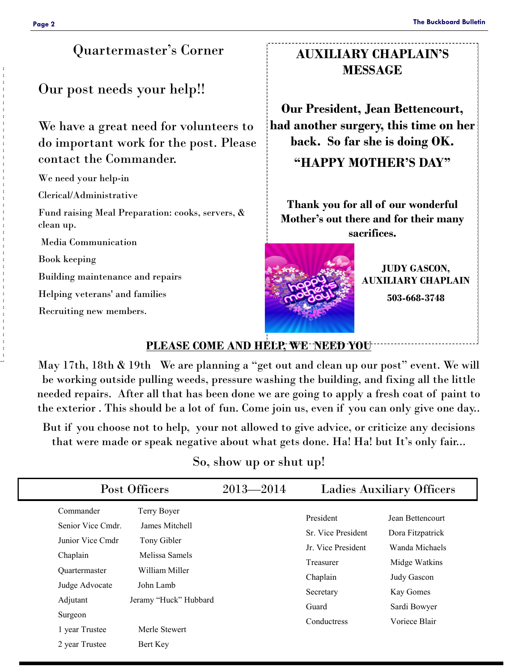#### Quartermaster's Corner

Our post needs your help!!

We have a great need for volunteers to do important work for the post. Please contact the Commander.

We need your help-in

Clerical/Administrative

Fund raising Meal Preparation: cooks, servers, & clean up.

Media Communication

Book keeping

Building maintenance and repairs

Helping veterans' and families

Recruiting new members.

### **AUXILIARY CHAPLAIN'S MESSAGE**

**Our President, Jean Bettencourt, had another surgery, this time on her back. So far she is doing OK.** 

**"HAPPY MOTHER'S DAY"**

**Thank you for all of our wonderful Mother's out there and for their many sacrifices.** 



**JUDY GASCON, AUXILIARY CHAPLAIN 503-668-3748**

#### **PLEASE COME AND HELP, WE NEED YOU**

May 17th, 18th & 19th We are planning a "get out and clean up our post" event. We will be working outside pulling weeds, pressure washing the building, and fixing all the little needed repairs. After all that has been done we are going to apply a fresh coat of paint to the exterior . This should be a lot of fun. Come join us, even if you can only give one day..

But if you choose not to help, your not allowed to give advice, or criticize any decisions that were made or speak negative about what gets done. Ha! Ha! but It's only fair...

| So, show up or shut up! |  |  |
|-------------------------|--|--|
|-------------------------|--|--|

|                                                                                                                                                   | Post Officers                                                                                                                           |  | <b>Ladies Auxiliary Officers</b>                                                                                    |                                                                                                                                      |  |
|---------------------------------------------------------------------------------------------------------------------------------------------------|-----------------------------------------------------------------------------------------------------------------------------------------|--|---------------------------------------------------------------------------------------------------------------------|--------------------------------------------------------------------------------------------------------------------------------------|--|
| Commander<br>Senior Vice Cmdr.<br>Junior Vice Cmdr<br>Chaplain<br><b>Ouartermaster</b><br>Judge Advocate<br>Adjutant<br>Surgeon<br>1 year Trustee | Terry Boyer<br>James Mitchell<br>Tony Gibler<br>Melissa Samels<br>William Miller<br>John Lamb<br>Jeramy "Huck" Hubbard<br>Merle Stewert |  | President<br>Sr. Vice President<br>Jr. Vice President<br>Treasurer<br>Chaplain<br>Secretary<br>Guard<br>Conductress | Jean Bettencourt<br>Dora Fitzpatrick<br>Wanda Michaels<br>Midge Watkins<br>Judy Gascon<br>Kay Gomes<br>Sardi Bowyer<br>Voriece Blair |  |
| 2 year Trustee                                                                                                                                    | Bert Key                                                                                                                                |  |                                                                                                                     |                                                                                                                                      |  |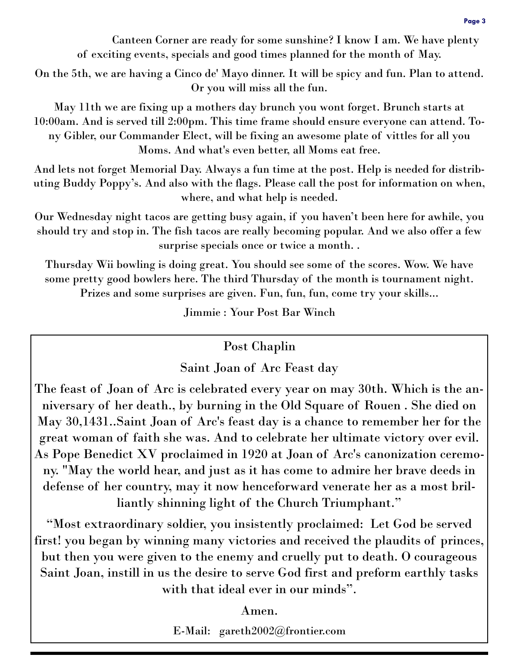On the 5th, we are having a Cinco de' Mayo dinner. It will be spicy and fun. Plan to attend. Or you will miss all the fun.

May 11th we are fixing up a mothers day brunch you wont forget. Brunch starts at 10:00am. And is served till 2:00pm. This time frame should ensure everyone can attend. Tony Gibler, our Commander Elect, will be fixing an awesome plate of vittles for all you Moms. And what's even better, all Moms eat free.

And lets not forget Memorial Day. Always a fun time at the post. Help is needed for distributing Buddy Poppy's. And also with the flags. Please call the post for information on when, where, and what help is needed.

Our Wednesday night tacos are getting busy again, if you haven't been here for awhile, you should try and stop in. The fish tacos are really becoming popular. And we also offer a few surprise specials once or twice a month. .

Thursday Wii bowling is doing great. You should see some of the scores. Wow. We have some pretty good bowlers here. The third Thursday of the month is tournament night. Prizes and some surprises are given. Fun, fun, fun, come try your skills...

Jimmie : Your Post Bar Winch

## Post Chaplin

## Saint Joan of Arc Feast day

The feast of Joan of Arc is celebrated every year on may 30th. Which is the anniversary of her death., by burning in the Old Square of Rouen . She died on May 30,1431..Saint Joan of Arc's feast day is a chance to remember her for the great woman of faith she was. And to celebrate her ultimate victory over evil. As Pope Benedict XV proclaimed in 1920 at Joan of Arc's canonization ceremony. "May the world hear, and just as it has come to admire her brave deeds in defense of her country, may it now henceforward venerate her as a most brilliantly shinning light of the Church Triumphant."

"Most extraordinary soldier, you insistently proclaimed: Let God be served first! you began by winning many victories and received the plaudits of princes, but then you were given to the enemy and cruelly put to death. O courageous Saint Joan, instill in us the desire to serve God first and preform earthly tasks with that ideal ever in our minds".

Amen.

E-Mail: gareth2002@frontier.com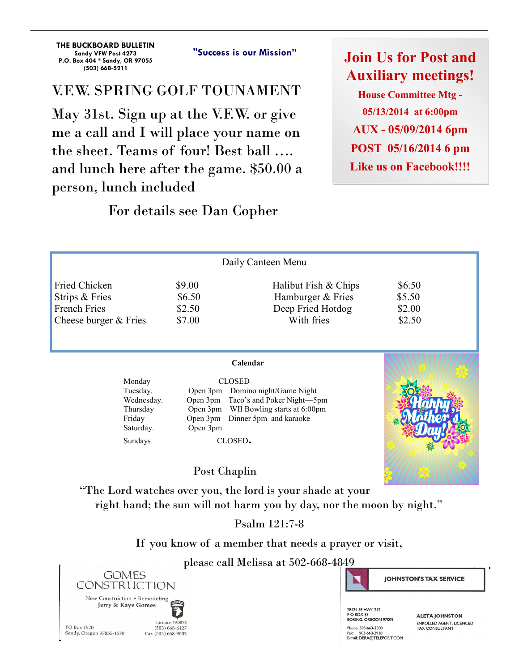**THE BUCKBOARD BULLETIN Sandy VFW Post 4273 P.O. Box 404 \* Sandy, OR 97055 (503) 668-5211** 

**"Success is our Mission"**

## V.F.W. SPRING GOLF TOUNAMENT

May 31st. Sign up at the V.F.W. or give me a call and I will place your name on the sheet. Teams of four! Best ball …. and lunch here after the game. \$50.00 a person, lunch included

### For details see Dan Copher

**Join Us for Post and Auxiliary meetings! House Committee Mtg -** 

**05/13/2014 at 6:00pm AUX - 05/09/2014 6pm POST 05/16/2014 6 pm Like us on Facebook!!!!** 

| Daily Canteen Menu                                                                     |                                      |                                                                              |                                      |  |
|----------------------------------------------------------------------------------------|--------------------------------------|------------------------------------------------------------------------------|--------------------------------------|--|
| <b>Fried Chicken</b><br>Strips & Fries<br><b>French Fries</b><br>Cheese burger & Fries | \$9.00<br>\$6.50<br>\$2.50<br>\$7.00 | Halibut Fish & Chips<br>Hamburger & Fries<br>Deep Fried Hotdog<br>With fries | \$6.50<br>\$5.50<br>\$2.00<br>\$2.50 |  |
|                                                                                        |                                      |                                                                              |                                      |  |

| Monday     |  |
|------------|--|
| Tuesday.   |  |
| Wednesday. |  |
| Thursday   |  |
| Friday     |  |
| Saturday.  |  |
| Sundavs    |  |

Open 3pm Taco's and Poker Night—5pm Open 3pm WII Bowling starts at 6:00pm Open 3pm Dinner 5pm and karaoke Open 3pm

**CLOSED** 

Open 3pm Domino night/Game Night

CLOSED.



#### Post Chaplin

"The Lord watches over you, the lord is your shade at your right hand; the sun will not harm you by day, nor the moon by night."

#### Psalm 121:7-8

If you know of a member that needs a prayer or visit,

#### please call Melissa at 502-668-4849





28424 SE HWY 212 PO BOX 33<br>BORING, OREGON 97009 Phone: 503-663-3308 Fig. 503-003-3300<br>Fax: 503-663-2938<br>E-mail: DERA@TELEPORT.COM

**ALETA JOHNSTON** ENROLLED AGENT LICENCED TAX CONSULTANT